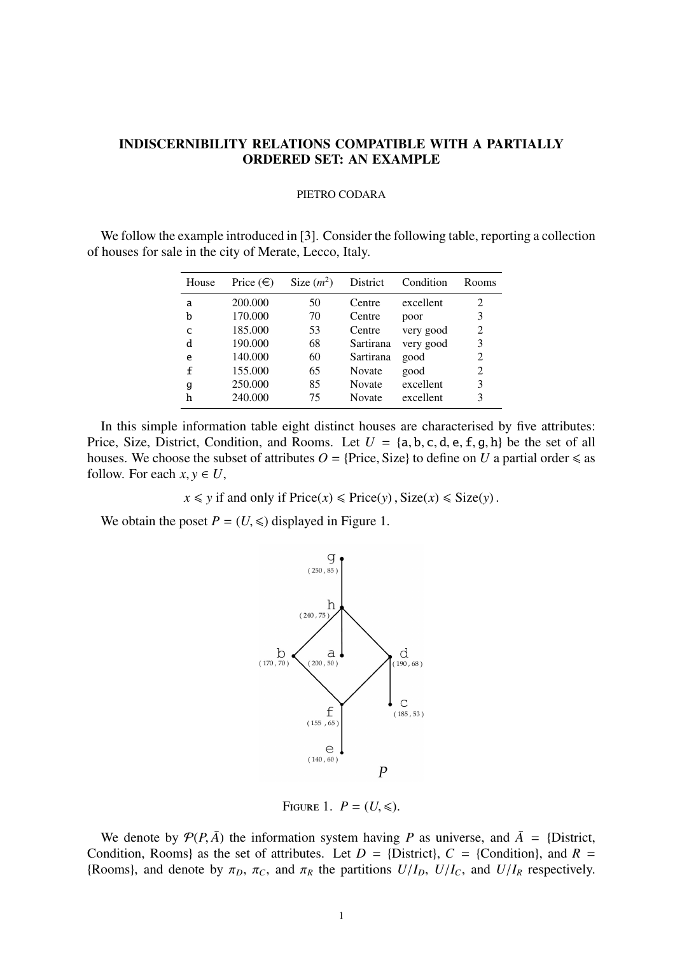## INDISCERNIBILITY RELATIONS COMPATIBLE WITH A PARTIALLY ORDERED SET: AN EXAMPLE

## PIETRO CODARA

We follow the example introduced in [3]. Consider the following table, reporting a collection of houses for sale in the city of Merate, Lecco, Italy.

| House       | Price $(\in)$ | Size $(m^2)$ | District      | Condition | Rooms          |
|-------------|---------------|--------------|---------------|-----------|----------------|
| a           | 200.000       | 50           | Centre        | excellent | 2              |
| b           | 170.000       | 70           | Centre        | poor      | 3              |
| C           | 185.000       | 53           | Centre        | very good | $\overline{2}$ |
| d           | 190.000       | 68           | Sartirana     | very good | 3              |
| e           | 140.000       | 60           | Sartirana     | good      | 2              |
| $\mathbf f$ | 155.000       | 65           | Novate        | good      | 2              |
| g           | 250.000       | 85           | <b>Novate</b> | excellent | 3              |
| h           | 240.000       | 75           | <b>Novate</b> | excellent | 3              |

In this simple information table eight distinct houses are characterised by five attributes: Price, Size, District, Condition, and Rooms. Let  $U = \{a, b, c, d, e, f, g, h\}$  be the set of all houses. We choose the subset of attributes  $O = \{Price, Size\}$  to define on *U* a partial order  $\leq$  as follow. For each  $x, y \in U$ ,

 $x \leq y$  if and only if  $\text{Price}(x) \leq \text{Price}(y)$ ,  $\text{Size}(x) \leq \text{Size}(y)$ .

We obtain the poset  $P = (U, \leq)$  displayed in Figure 1.



FIGURE 1.  $P = (U, \leqslant)$ .

We denote by  $\mathcal{P}(P,\bar{A})$  the information system having P as universe, and  $\bar{A} = \{\text{District},\}$ Condition, Rooms) as the set of attributes. Let  $D = \{D\text{istrict}\}\$ ,  $C = \{Condition\}$ , and  $R =$ {Rooms}, and denote by  $\pi_D$ ,  $\pi_C$ , and  $\pi_R$  the partitions  $U/I_D$ ,  $U/I_C$ , and  $U/I_R$  respectively.